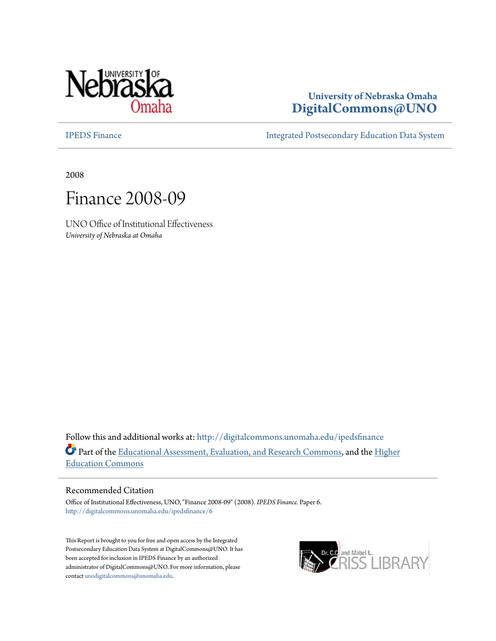

# **University of Nebraska Omaha [DigitalCommons@UNO](http://digitalcommons.unomaha.edu?utm_source=digitalcommons.unomaha.edu%2Fipedsfinance%2F6&utm_medium=PDF&utm_campaign=PDFCoverPages)**

[IPEDS Finance](http://digitalcommons.unomaha.edu/ipedsfinance?utm_source=digitalcommons.unomaha.edu%2Fipedsfinance%2F6&utm_medium=PDF&utm_campaign=PDFCoverPages) [Integrated Postsecondary Education Data System](http://digitalcommons.unomaha.edu/oieipeds?utm_source=digitalcommons.unomaha.edu%2Fipedsfinance%2F6&utm_medium=PDF&utm_campaign=PDFCoverPages)

2008



UNO Office of Institutional Effectiveness *University of Nebraska at Omaha*

Follow this and additional works at: [http://digitalcommons.unomaha.edu/ipedsfinance](http://digitalcommons.unomaha.edu/ipedsfinance?utm_source=digitalcommons.unomaha.edu%2Fipedsfinance%2F6&utm_medium=PDF&utm_campaign=PDFCoverPages) Part of the [Educational Assessment, Evaluation, and Research Commons,](http://network.bepress.com/hgg/discipline/796?utm_source=digitalcommons.unomaha.edu%2Fipedsfinance%2F6&utm_medium=PDF&utm_campaign=PDFCoverPages) and the [Higher](http://network.bepress.com/hgg/discipline/1245?utm_source=digitalcommons.unomaha.edu%2Fipedsfinance%2F6&utm_medium=PDF&utm_campaign=PDFCoverPages) [Education Commons](http://network.bepress.com/hgg/discipline/1245?utm_source=digitalcommons.unomaha.edu%2Fipedsfinance%2F6&utm_medium=PDF&utm_campaign=PDFCoverPages)

## Recommended Citation

Office of Institutional Effectiveness, UNO, "Finance 2008-09" (2008). *IPEDS Finance.* Paper 6. [http://digitalcommons.unomaha.edu/ipedsfinance/6](http://digitalcommons.unomaha.edu/ipedsfinance/6?utm_source=digitalcommons.unomaha.edu%2Fipedsfinance%2F6&utm_medium=PDF&utm_campaign=PDFCoverPages)

This Report is brought to you for free and open access by the Integrated Postsecondary Education Data System at DigitalCommons@UNO. It has been accepted for inclusion in IPEDS Finance by an authorized administrator of DigitalCommons@UNO. For more information, please contact [unodigitalcommons@unomaha.edu.](mailto:unodigitalcommons@unomaha.edu)

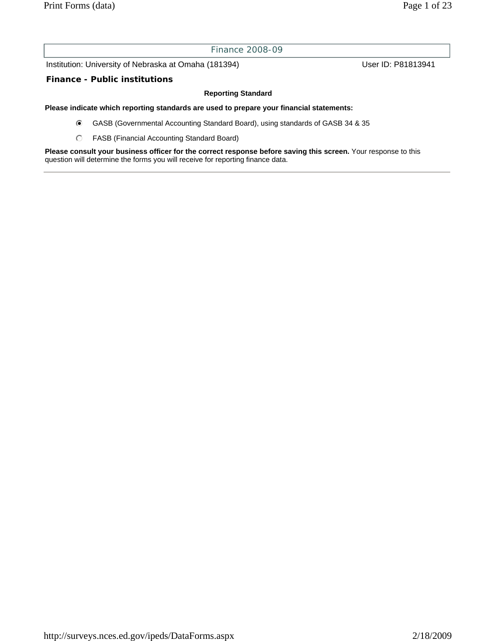#### Finance 2008-09

Institution: University of Nebraska at Omaha (181394) User ID: P81813941

### **Finance - Public institutions**

#### **Reporting Standard**

#### **Please indicate which reporting standards are used to prepare your financial statements:**

- 6 GASB (Governmental Accounting Standard Board), using standards of GASB 34 & 35
- $\heartsuit$  FASB (Financial Accounting Standard Board)

**Please consult your business officer for the correct response before saving this screen.** Your response to this question will determine the forms you will receive for reporting finance data.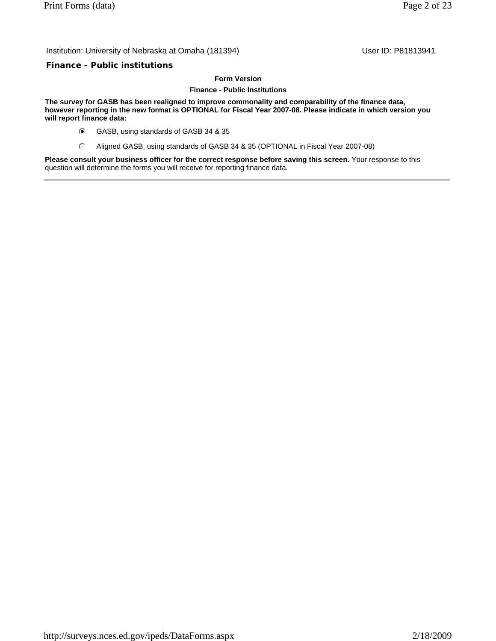## **Finance - Public institutions**

#### **Form Version**

#### **Finance - Public Institutions**

**The survey for GASB has been realigned to improve commonality and comparability of the finance data, however reporting in the new format is OPTIONAL for Fiscal Year 2007-08. Please indicate in which version you will report finance data:**

- 6 GASB, using standards of GASB 34 & 35
- C Aligned GASB, using standards of GASB 34 & 35 (OPTIONAL in Fiscal Year 2007-08)

**Please consult your business officer for the correct response before saving this screen.** Your response to this question will determine the forms you will receive for reporting finance data.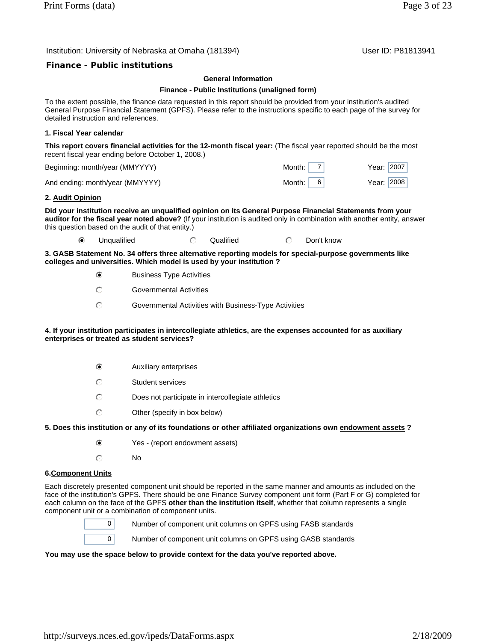#### **Finance - Public institutions**

#### **General Information**

#### **Finance - Public Institutions (unaligned form)**

To the extent possible, the finance data requested in this report should be provided from your institution's audited General Purpose Financial Statement (GPFS). Please refer to the instructions specific to each page of the survey for detailed instruction and references.

#### **1. Fiscal Year calendar**

**This report covers financial activities for the 12-month fiscal year:** (The fiscal year reported should be the most recent fiscal year ending before October 1, 2008.)

Beginning: month/year (MMYYYY) Month: 7 Month: 7 Year: 2007

And ending: month/year (MMYYYY) Month: 6 Month: 6 Year: 2008

#### **2. Audit Opinion**

**Did your institution receive an unqualified opinion on its General Purpose Financial Statements from your auditor for the fiscal year noted above?** (If your institution is audited only in combination with another entity, answer this question based on the audit of that entity.)

**6** Unqualified  $\odot$  Qualified  $\odot$  Don't know

**3. GASB Statement No. 34 offers three alternative reporting models for special-purpose governments like colleges and universities. Which model is used by your institution ?**

- **6** Business Type Activities
- $\odot$  Governmental Activities
- $\odot$  Governmental Activities with Business-Type Activities

#### **4. If your institution participates in intercollegiate athletics, are the expenses accounted for as auxiliary enterprises or treated as student services?**

- $\bullet$  Auxiliary enterprises
- $\odot$  Student services
- $\odot$  Does not participate in intercollegiate athletics
- $\heartsuit$  Other (specify in box below)

#### **5. Does this institution or any of its foundations or other affiliated organizations own endowment assets ?**

- $\bullet$  Yes (report endowment assets)
- $\odot$  No

#### **6.Component Units**

Each discretely presented component unit should be reported in the same manner and amounts as included on the face of the institution's GPFS. There should be one Finance Survey component unit form (Part F or G) completed for each column on the face of the GPFS **other than the institution itself**, whether that column represents a single component unit or a combination of component units.

0 Number of component unit columns on GPFS using FASB standards

0 Number of component unit columns on GPFS using GASB standards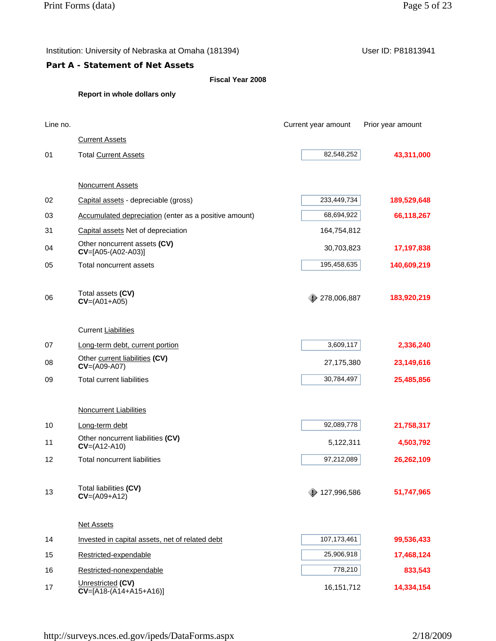Institution: University of Nebraska at Omaha (181394) User ID: P81813941 **Part A - Statement of Net Assets Fiscal Year 2008 Report in whole dollars only** Line no. **Current year amount** Prior year amount Prior year amount Prior year amount Current Assets 01 Total Current Assets 82,548,252 **43,311,000** Noncurrent Assets 02 Capital assets - depreciable (gross) 233,449,734 **189,529,648** 03 Accumulated depreciation (enter as a positive amount) 68,694,922 **66,118,267** 31 Capital assets Net of depreciation 164,754,812 <sup>04</sup> Other noncurrent assets **(CV) CV**=[A05-(A02-A03)] **30,703,823** 17,197,838 05 Total noncurrent assets 195,458,635 **140,609,219** <sup>06</sup> Total assets **(CV) CV**=(A01+A05) 278,006,887 **183,920,219** Current Liabilities 07 **Long-term debt, current portion** 3,609,117 **2,336,240** 08 Other <u>current liabilities</u> (CV)<br>CV=(A09-A07) **CV**=(A09-A07) 27,175,380 **23,149,616** 09 Total current liabilities 30,784,497 **25,485,856** Noncurrent Liabilities 10 Long-term debt 92,089,778 **21,758,317** 11 Other noncurrent liabilities **(CV)**<br>**CV**=(A12-A10) **CV**=(A12-A10) **4,503,792**<br>**CV**=(A12-A10) 12 Total noncurrent liabilities 97,212,089 **26,262,109** 13 Total liabilities **(CV)**<br>**CV**=(A09+A12) **CV**=(A09+A12) **51,747,965 CV**=(A09+A12) Net Assets 14 Invested in capital assets, net of related debt 107,173,461 **99,536,433** 15 Restricted-expendable 25,906,918 **17,468,124** 16 Restricted-nonexpendable 778,210 **833,543**

<sup>17</sup> Unrestricted **(CV)**  <u>CHIESINCIEO</u> (CV)<br>**CV**=[A18-(A14+A15+A16)] 16,151,712 14,334,154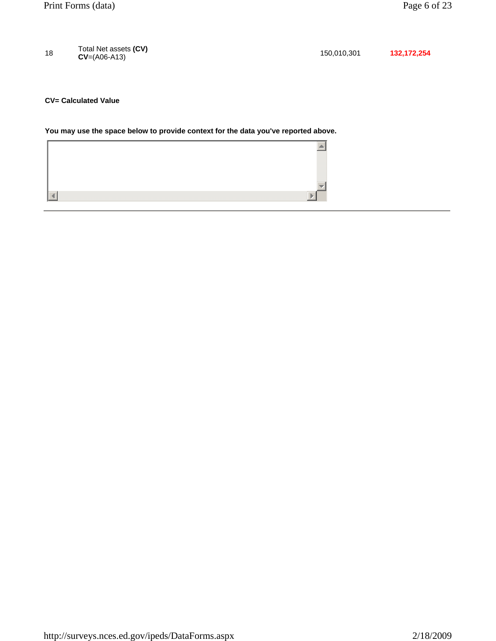| 18 | Total Net assets (CV)<br>$CV=(A06-A13)$ | 150.010.301 | 132,172,254 |
|----|-----------------------------------------|-------------|-------------|
|----|-----------------------------------------|-------------|-------------|

### **CV= Calculated Value**

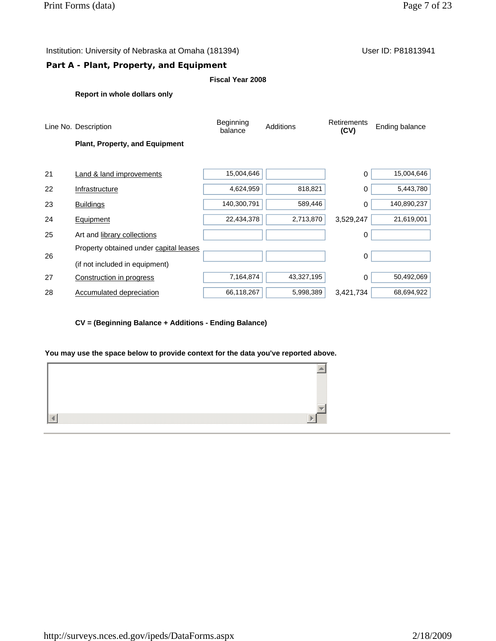### **Part A - Plant, Property, and Equipment**

#### **Fiscal Year 2008**

### **Report in whole dollars only**

|    | Line No. Description                   | Beginning<br>balance | Additions  | Retirements<br>(CV) | Ending balance |
|----|----------------------------------------|----------------------|------------|---------------------|----------------|
|    | <b>Plant, Property, and Equipment</b>  |                      |            |                     |                |
|    |                                        |                      |            |                     |                |
| 21 | <b>Land &amp; land improvements</b>    | 15,004,646           |            | 0                   | 15,004,646     |
| 22 | Infrastructure                         | 4,624,959            | 818,821    | 0                   | 5,443,780      |
| 23 | <b>Buildings</b>                       | 140,300,791          | 589,446    | 0                   | 140,890,237    |
| 24 | Equipment                              | 22,434,378           | 2,713,870  | 3,529,247           | 21,619,001     |
| 25 | Art and library collections            |                      |            | 0                   |                |
| 26 | Property obtained under capital leases |                      |            | 0                   |                |
|    | (if not included in equipment)         |                      |            |                     |                |
| 27 | Construction in progress               | 7,164,874            | 43,327,195 | 0                   | 50,492,069     |
| 28 | Accumulated depreciation               | 66,118,267           | 5,998,389  | 3,421,734           | 68,694,922     |

**CV = (Beginning Balance + Additions - Ending Balance)**

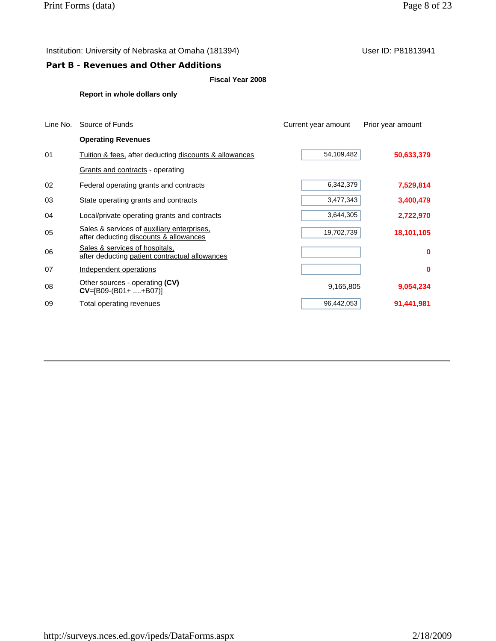## **Part B - Revenues and Other Additions**

## **Fiscal Year 2008**

#### **Report in whole dollars only**

| Line No. | Source of Funds                                                                      | Current year amount | Prior year amount |
|----------|--------------------------------------------------------------------------------------|---------------------|-------------------|
|          | <b>Operating Revenues</b>                                                            |                     |                   |
| 01       | Tuition & fees, after deducting discounts & allowances                               | 54,109,482          | 50,633,379        |
|          | Grants and contracts - operating                                                     |                     |                   |
| 02       | Federal operating grants and contracts                                               | 6,342,379           | 7,529,814         |
| 03       | State operating grants and contracts                                                 | 3,477,343           | 3,400,479         |
| 04       | Local/private operating grants and contracts                                         | 3,644,305           | 2,722,970         |
| 05       | Sales & services of auxiliary enterprises,<br>after deducting discounts & allowances | 19,702,739          | 18,101,105        |
| 06       | Sales & services of hospitals,<br>after deducting patient contractual allowances     |                     | $\bf{0}$          |
| 07       | Independent operations                                                               |                     | $\bf{0}$          |
| 08       | Other sources - operating (CV)<br>$CV=[B09-(B01++B07)]$                              | 9,165,805           | 9,054,234         |
| 09       | Total operating revenues                                                             | 96,442,053          | 91,441,981        |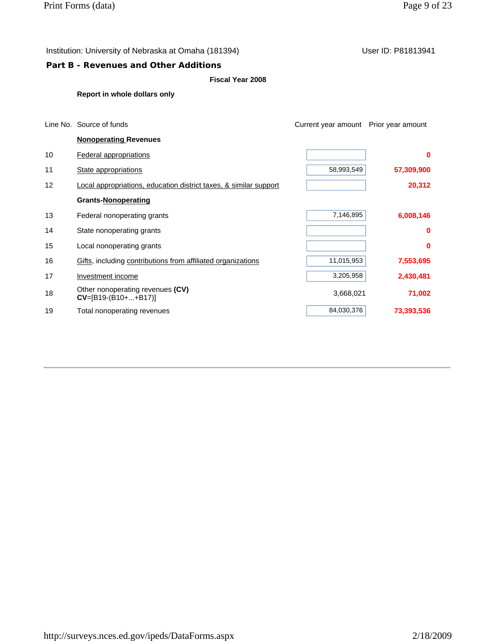## **Part B - Revenues and Other Additions**

## **Fiscal Year 2008**

## **Report in whole dollars only**

|    | Line No. Source of funds                                          | Current year amount Prior year amount |              |
|----|-------------------------------------------------------------------|---------------------------------------|--------------|
|    | <b>Nonoperating Revenues</b>                                      |                                       |              |
| 10 | <b>Federal appropriations</b>                                     |                                       | $\mathbf{0}$ |
| 11 | State appropriations                                              | 58,993,549                            | 57,309,900   |
| 12 | Local appropriations, education district taxes, & similar support |                                       | 20,312       |
|    | <b>Grants-Nonoperating</b>                                        |                                       |              |
| 13 | Federal nonoperating grants                                       | 7,146,895                             | 6,008,146    |
| 14 | State nonoperating grants                                         |                                       | $\bf{0}$     |
| 15 | Local nonoperating grants                                         |                                       | $\mathbf{0}$ |
| 16 | Gifts, including contributions from affiliated organizations      | 11,015,953                            | 7,553,695    |
| 17 | Investment income                                                 | 3,205,958                             | 2,430,481    |
| 18 | Other nonoperating revenues (CV)<br>$CV=[B19-(B10++B17)]$         | 3,668,021                             | 71,002       |
| 19 | Total nonoperating revenues                                       | 84,030,376                            | 73,393,536   |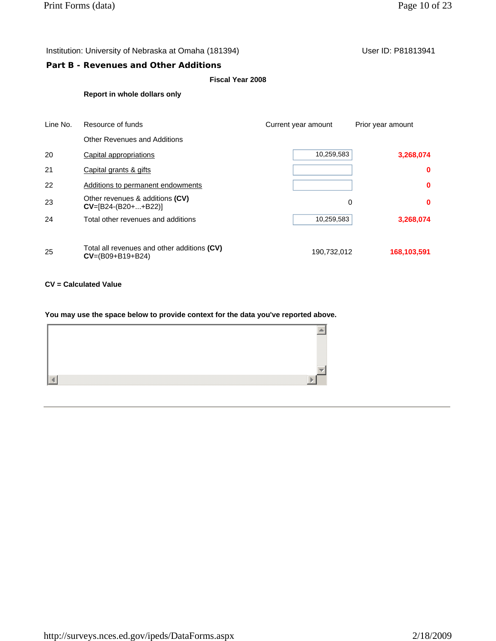## **Part B - Revenues and Other Additions**

## **Fiscal Year 2008**

## **Report in whole dollars only**

| Line No. | Resource of funds                                                 | Current year amount<br>Prior year amount |             |
|----------|-------------------------------------------------------------------|------------------------------------------|-------------|
|          | <b>Other Revenues and Additions</b>                               |                                          |             |
| 20       | Capital appropriations                                            | 10,259,583                               | 3,268,074   |
| 21       | Capital grants & gifts                                            |                                          | 0           |
| 22       | Additions to permanent endowments                                 |                                          | 0           |
| 23       | Other revenues & additions (CV)<br>$CV=[B24-(B20++B22)]$          | 0                                        | $\bf{0}$    |
| 24       | Total other revenues and additions                                | 10,259,583                               | 3,268,074   |
|          |                                                                   |                                          |             |
| 25       | Total all revenues and other additions (CV)<br>$CV=(B09+B19+B24)$ | 190,732,012                              | 168,103,591 |

#### **CV = Calculated Value**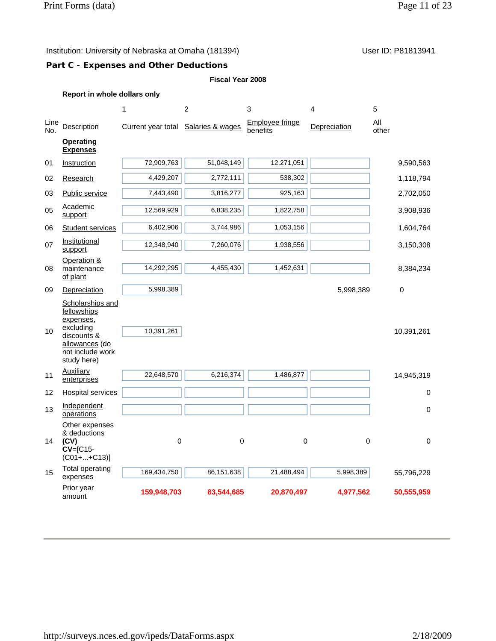## **Part C - Expenses and Other Deductions**

#### **Fiscal Year 2008**

### **Report in whole dollars only**

|             |                                                                                                                               | 1                                   | $\overline{c}$ | 3                                  | 4            | 5            |
|-------------|-------------------------------------------------------------------------------------------------------------------------------|-------------------------------------|----------------|------------------------------------|--------------|--------------|
| Line<br>No. | Description                                                                                                                   | Current year total Salaries & wages |                | <b>Employee fringe</b><br>benefits | Depreciation | All<br>other |
|             | Operating<br><b>Expenses</b>                                                                                                  |                                     |                |                                    |              |              |
| 01          | Instruction                                                                                                                   | 72,909,763                          | 51,048,149     | 12,271,051                         |              | 9,590,563    |
| 02          | Research                                                                                                                      | 4,429,207                           | 2,772,111      | 538,302                            |              | 1,118,794    |
| 03          | Public service                                                                                                                | 7,443,490                           | 3,816,277      | 925,163                            |              | 2,702,050    |
| 05          | Academic<br>support                                                                                                           | 12,569,929                          | 6,838,235      | 1,822,758                          |              | 3,908,936    |
| 06          | Student services                                                                                                              | 6,402,906                           | 3,744,986      | 1,053,156                          |              | 1,604,764    |
| 07          | Institutional<br>support                                                                                                      | 12,348,940                          | 7,260,076      | 1,938,556                          |              | 3,150,308    |
| 08          | Operation &<br>maintenance<br>of plant                                                                                        | 14,292,295                          | 4,455,430      | 1,452,631                          |              | 8,384,234    |
| 09          | Depreciation                                                                                                                  | 5,998,389                           |                |                                    | 5,998,389    | $\mathbf 0$  |
| 10          | Scholarships and<br>fellowships<br>expenses,<br>excluding<br>discounts &<br>allowances (do<br>not include work<br>study here) | 10,391,261                          |                |                                    |              | 10,391,261   |
| 11          | Auxiliary<br>enterprises                                                                                                      | 22,648,570                          | 6,216,374      | 1,486,877                          |              | 14,945,319   |
| 12          | <b>Hospital services</b>                                                                                                      |                                     |                |                                    |              | 0            |
| 13          | Independent<br>operations                                                                                                     |                                     |                |                                    |              | $\mathbf 0$  |
| 14          | Other expenses<br>& deductions<br>(CV)<br>$CV=[C15-$<br>$(C01 +  + C13)$                                                      | 0                                   | 0              | 0                                  | 0            | $\mathbf 0$  |
| 15          | <b>Total operating</b><br>expenses                                                                                            | 169,434,750                         | 86,151,638     | 21,488,494                         | 5,998,389    | 55,796,229   |
|             | Prior year<br>amount                                                                                                          | 159,948,703                         | 83,544,685     | 20,870,497                         | 4,977,562    | 50,555,959   |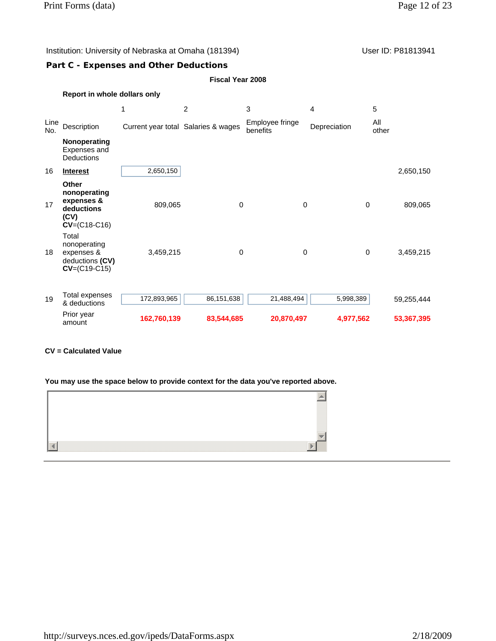## **Part C - Expenses and Other Deductions**

#### **Fiscal Year 2008**

### **Report in whole dollars only**

|             |                                                                                    | 1           | $\overline{2}$                      | 3                           | 4                          | 5            |
|-------------|------------------------------------------------------------------------------------|-------------|-------------------------------------|-----------------------------|----------------------------|--------------|
| Line<br>No. | Description                                                                        |             | Current year total Salaries & wages | Employee fringe<br>benefits | Depreciation               | All<br>other |
|             | Nonoperating<br>Expenses and<br><b>Deductions</b>                                  |             |                                     |                             |                            |              |
| 16          | <b>Interest</b>                                                                    | 2,650,150   |                                     |                             |                            | 2,650,150    |
| 17          | <b>Other</b><br>nonoperating<br>expenses &<br>deductions<br>(CV)<br>$CV=(C18-C16)$ | 809,065     | 0                                   |                             | $\mathbf 0$<br>$\mathbf 0$ | 809,065      |
| 18          | Total<br>nonoperating<br>expenses &<br>deductions (CV)<br>$CV=(C19-C15)$           | 3,459,215   | 0                                   |                             | $\mathbf 0$<br>$\mathbf 0$ | 3,459,215    |
| 19          | Total expenses<br>& deductions                                                     | 172,893,965 | 86,151,638                          | 21,488,494                  | 5,998,389                  | 59,255,444   |
|             | Prior year<br>amount                                                               | 162,760,139 | 83,544,685                          | 20,870,497                  | 4,977,562                  | 53,367,395   |

#### **CV = Calculated Value**

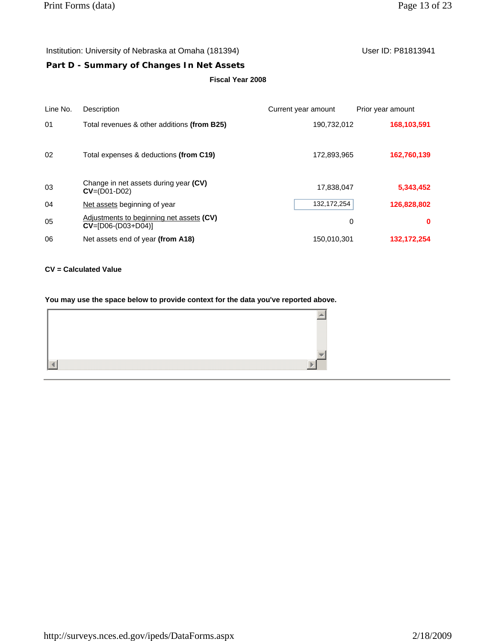## **Part D - Summary of Changes In Net Assets**

### **Fiscal Year 2008**

| Line No. | Description                                                      | Current year amount | Prior year amount |
|----------|------------------------------------------------------------------|---------------------|-------------------|
| 01       | Total revenues & other additions (from B25)                      | 190,732,012         | 168,103,591       |
| 02       | Total expenses & deductions (from C19)                           | 172,893,965         | 162,760,139       |
| 03       | Change in net assets during year (CV)<br>$CV=(D01-D02)$          | 17,838,047          | 5,343,452         |
| 04       | Net assets beginning of year                                     | 132, 172, 254       | 126,828,802       |
| 05       | Adjustments to beginning net assets (CV)<br>$CV=[D06-(D03+D04)]$ | 0                   | 0                 |
| 06       | Net assets end of year (from A18)                                | 150.010.301         | 132,172,254       |

#### **CV = Calculated Value**

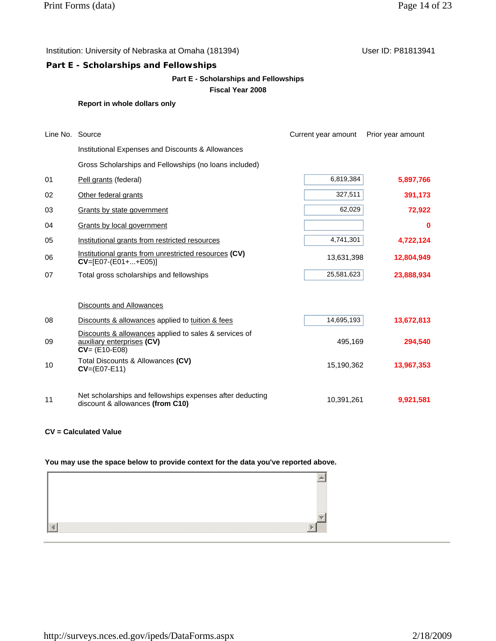## **Part E - Scholarships and Fellowships**

# **Part E - Scholarships and Fellowships**

## **Fiscal Year 2008**

## **Report in whole dollars only**

| Line No. Source |                                                                                                         | Current year amount | Prior year amount |
|-----------------|---------------------------------------------------------------------------------------------------------|---------------------|-------------------|
|                 | Institutional Expenses and Discounts & Allowances                                                       |                     |                   |
|                 | Gross Scholarships and Fellowships (no loans included)                                                  |                     |                   |
| 01              | Pell grants (federal)                                                                                   | 6,819,384           | 5,897,766         |
| 02              | Other federal grants                                                                                    | 327,511             | 391,173           |
| 03              | Grants by state government                                                                              | 62,029              | 72,922            |
| 04              | Grants by local government                                                                              |                     | 0                 |
| 05              | Institutional grants from restricted resources                                                          | 4,741,301           | 4,722,124         |
| 06              | Institutional grants from unrestricted resources (CV)<br>$CV=[E07-(E01++E05)]$                          | 13,631,398          | 12,804,949        |
| 07              | Total gross scholarships and fellowships                                                                | 25,581,623          | 23,888,934        |
|                 |                                                                                                         |                     |                   |
|                 | Discounts and Allowances                                                                                |                     |                   |
| 08              | Discounts & allowances applied to tuition & fees                                                        | 14,695,193          | 13,672,813        |
| 09              | Discounts & allowances applied to sales & services of<br>auxiliary enterprises (CV)<br>$CV = (E10-E08)$ | 495,169             | 294,540           |
| 10              | Total Discounts & Allowances (CV)<br>$CV=(E07-E11)$                                                     | 15,190,362          | 13,967,353        |
| 11              | Net scholarships and fellowships expenses after deducting<br>discount & allowances (from C10)           | 10.391.261          | 9,921,581         |

#### **CV = Calculated Value**

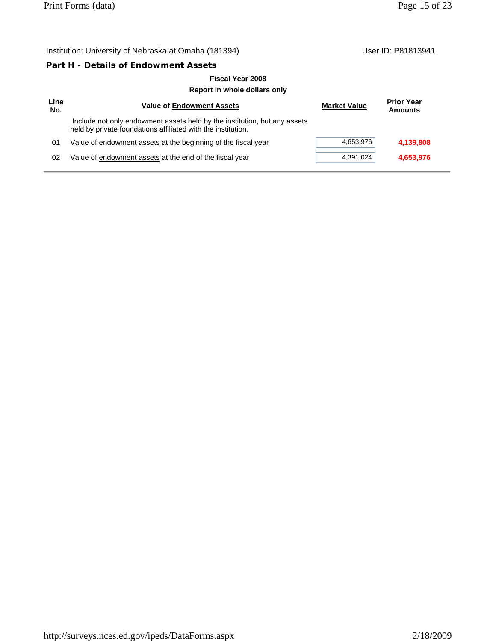|             | Institution: University of Nebraska at Omaha (181394)                                                                                     |                     | User ID: P81813941           |
|-------------|-------------------------------------------------------------------------------------------------------------------------------------------|---------------------|------------------------------|
|             | Part H - Details of Endowment Assets                                                                                                      |                     |                              |
|             | <b>Fiscal Year 2008</b><br>Report in whole dollars only                                                                                   |                     |                              |
| Line<br>No. | <b>Value of Endowment Assets</b>                                                                                                          | <b>Market Value</b> | <b>Prior Year</b><br>Amounts |
|             | Include not only endowment assets held by the institution, but any assets<br>held by private foundations affiliated with the institution. |                     |                              |
| 01          | Value of endowment assets at the beginning of the fiscal year                                                                             | 4,653,976           | 4,139,808                    |
| 02          | Value of endowment assets at the end of the fiscal year                                                                                   | 4,391,024           | 4,653,976                    |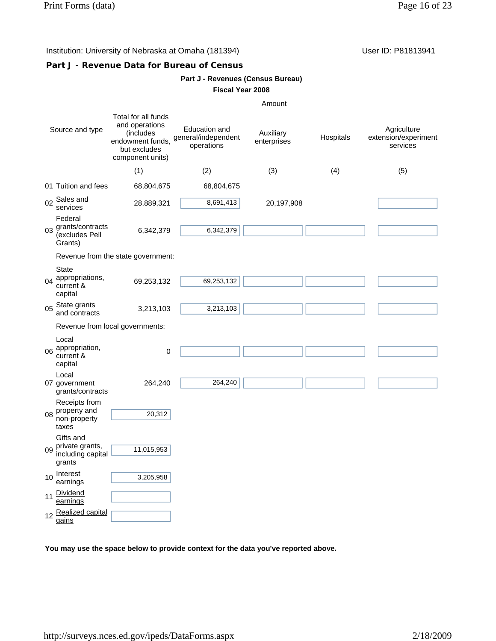## **Part J - Revenue Data for Bureau of Census**

# **Part J - Revenues (Census Bureau)**

**Fiscal Year 2008** 

|    |                                                             |                                                                                                            |                                                           | Amount                   |           |                                                 |
|----|-------------------------------------------------------------|------------------------------------------------------------------------------------------------------------|-----------------------------------------------------------|--------------------------|-----------|-------------------------------------------------|
|    | Source and type                                             | Total for all funds<br>and operations<br>(includes<br>endowment funds,<br>but excludes<br>component units) | <b>Education and</b><br>general/independent<br>operations | Auxiliary<br>enterprises | Hospitals | Agriculture<br>extension/experiment<br>services |
|    |                                                             | (1)                                                                                                        | (2)                                                       | (3)                      | (4)       | (5)                                             |
|    | 01 Tuition and fees                                         | 68,804,675                                                                                                 | 68,804,675                                                |                          |           |                                                 |
| 02 | Sales and<br>services                                       | 28,889,321                                                                                                 | 8,691,413                                                 | 20,197,908               |           |                                                 |
| 03 | Federal<br>grants/contracts<br>(excludes Pell<br>Grants)    | 6,342,379                                                                                                  | 6,342,379                                                 |                          |           |                                                 |
|    |                                                             | Revenue from the state government:                                                                         |                                                           |                          |           |                                                 |
| 04 | <b>State</b><br>appropriations,<br>current &<br>capital     | 69,253,132                                                                                                 | 69,253,132                                                |                          |           |                                                 |
| 05 | State grants<br>and contracts                               | 3,213,103                                                                                                  | 3,213,103                                                 |                          |           |                                                 |
|    |                                                             | Revenue from local governments:                                                                            |                                                           |                          |           |                                                 |
| 06 | Local<br>appropriation,<br>current &<br>capital             | 0                                                                                                          |                                                           |                          |           |                                                 |
|    | Local<br>07 government<br>grants/contracts                  | 264,240                                                                                                    | 264,240                                                   |                          |           |                                                 |
|    | Receipts from<br>08 property and<br>non-property<br>taxes   | 20,312                                                                                                     |                                                           |                          |           |                                                 |
| 09 | Gifts and<br>private grants,<br>including capital<br>grants | 11,015,953                                                                                                 |                                                           |                          |           |                                                 |
|    | 10 Interest<br>earnings                                     | 3,205,958                                                                                                  |                                                           |                          |           |                                                 |
|    | 11 Dividend<br>earnings                                     |                                                                                                            |                                                           |                          |           |                                                 |
|    | 12 Realized capital<br>gains                                |                                                                                                            |                                                           |                          |           |                                                 |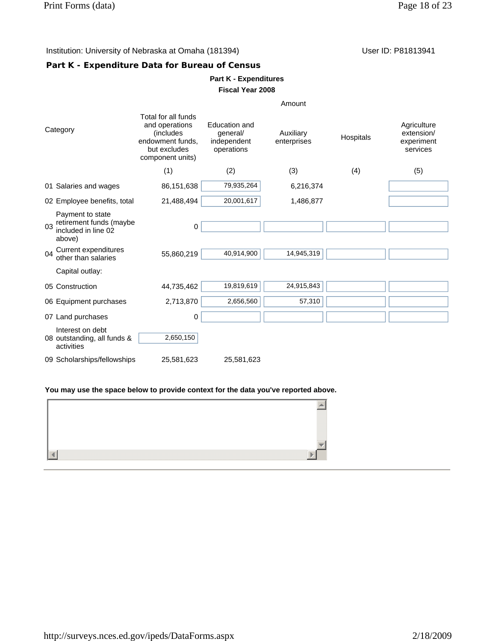## **Part K - Expenditure Data for Bureau of Census**

**Part K - Expenditures Fiscal Year 2008**

 $\lambda$ 

|    |                                                                              |                                                                                                                    |                                                        | Amount                   |           |                                                     |
|----|------------------------------------------------------------------------------|--------------------------------------------------------------------------------------------------------------------|--------------------------------------------------------|--------------------------|-----------|-----------------------------------------------------|
|    | Category                                                                     | Total for all funds<br>and operations<br><i>(includes)</i><br>endowment funds,<br>but excludes<br>component units) | Education and<br>qeneral/<br>independent<br>operations | Auxiliary<br>enterprises | Hospitals | Agriculture<br>extension/<br>experiment<br>services |
|    |                                                                              | (1)                                                                                                                | (2)                                                    | (3)                      | (4)       | (5)                                                 |
|    | 01 Salaries and wages                                                        | 86, 151, 638                                                                                                       | 79,935,264                                             | 6,216,374                |           |                                                     |
|    | 02 Employee benefits, total                                                  | 21,488,494                                                                                                         | 20,001,617                                             | 1,486,877                |           |                                                     |
| 03 | Payment to state<br>retirement funds (maybe<br>included in line 02<br>above) | 0                                                                                                                  |                                                        |                          |           |                                                     |
| 04 | Current expenditures<br>other than salaries                                  | 55,860,219                                                                                                         | 40,914,900                                             | 14,945,319               |           |                                                     |
|    | Capital outlay:                                                              |                                                                                                                    |                                                        |                          |           |                                                     |
|    | 05 Construction                                                              | 44,735,462                                                                                                         | 19,819,619                                             | 24,915,843               |           |                                                     |
|    | 06 Equipment purchases                                                       | 2,713,870                                                                                                          | 2,656,560                                              | 57,310                   |           |                                                     |
|    | 07 Land purchases                                                            | 0                                                                                                                  |                                                        |                          |           |                                                     |
|    | Interest on debt<br>08 outstanding, all funds &<br>activities                | 2,650,150                                                                                                          |                                                        |                          |           |                                                     |
|    | 09 Scholarships/fellowships                                                  | 25,581,623                                                                                                         | 25,581,623                                             |                          |           |                                                     |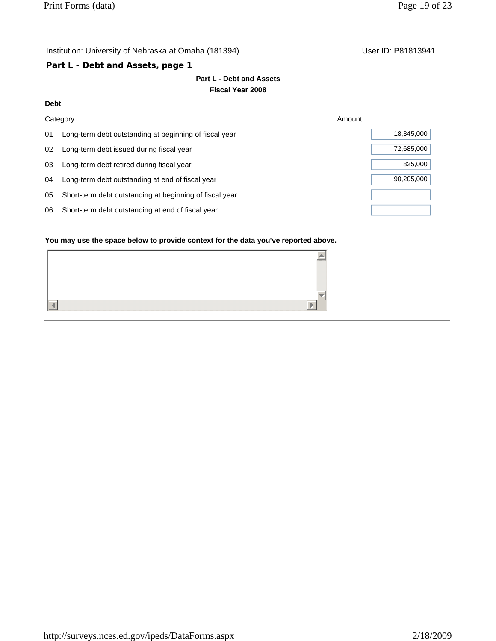**Debt**

Institution: University of Nebraska at Omaha (181394) User ID: P81813941

## **Part L - Debt and Assets, page 1**

## **Part L - Debt and Assets Fiscal Year 2008**

| Category |                                                         | Amount     |
|----------|---------------------------------------------------------|------------|
| 01       | Long-term debt outstanding at beginning of fiscal year  | 18,345,000 |
| 02       | Long-term debt issued during fiscal year                | 72,685,000 |
| 03       | Long-term debt retired during fiscal year               | 825,000    |
| 04       | Long-term debt outstanding at end of fiscal year        | 90,205,000 |
| 05       | Short-term debt outstanding at beginning of fiscal year |            |
| 06       | Short-term debt outstanding at end of fiscal year       |            |

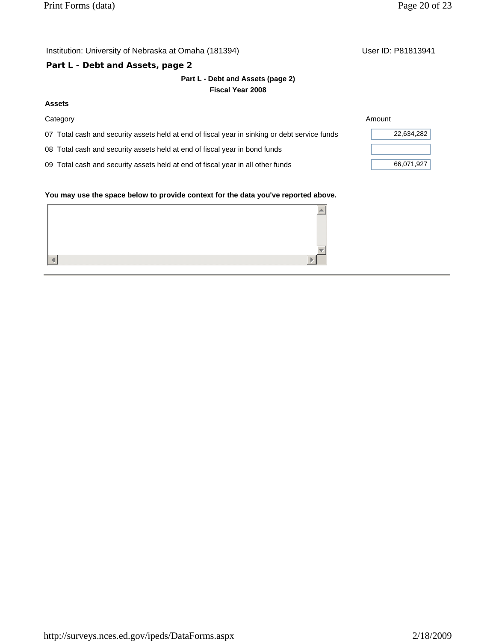**Assets**

Institution: University of Nebraska at Omaha (181394) User ID: P81813941

## **Part L - Debt and Assets, page 2**

## **Part L - Debt and Assets (page 2) Fiscal Year 2008**

| Category                                                                                      | Amount     |
|-----------------------------------------------------------------------------------------------|------------|
| 07 Total cash and security assets held at end of fiscal year in sinking or debt service funds | 22,634,282 |
| 08 Total cash and security assets held at end of fiscal year in bond funds                    |            |
| 09 Total cash and security assets held at end of fiscal year in all other funds               | 66,071,927 |

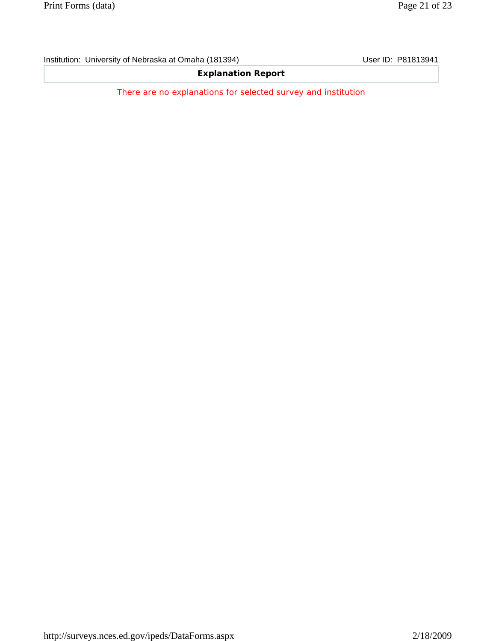## **Explanation Report**

There are no explanations for selected survey and institution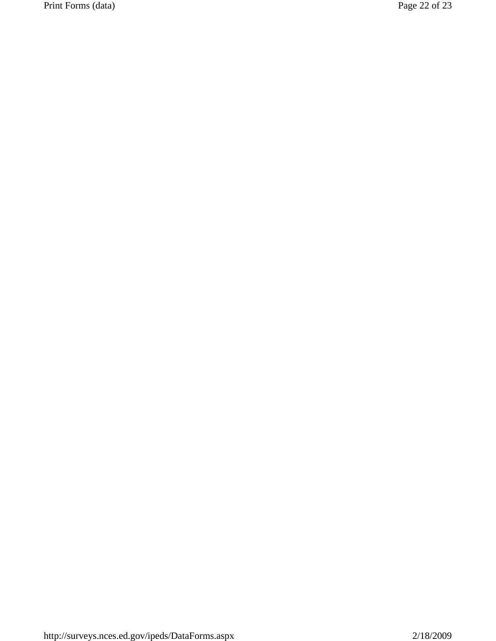Print Forms (data) Page 22 of 23